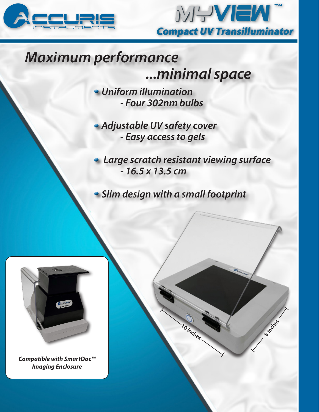



# *Maximum performance*

 *...minimal space*

*Uniform illumination - Four 302nm bulbs*

*Adjustable UV safety cover - Easy access to gels*

 *Large scratch resistant viewing surface - 16.5 x 13.5 cm*

**10 inches**

**8 inches**

*Slim design with a small footprint*



*Compatible with SmartDoc™ Imaging Enclosure*